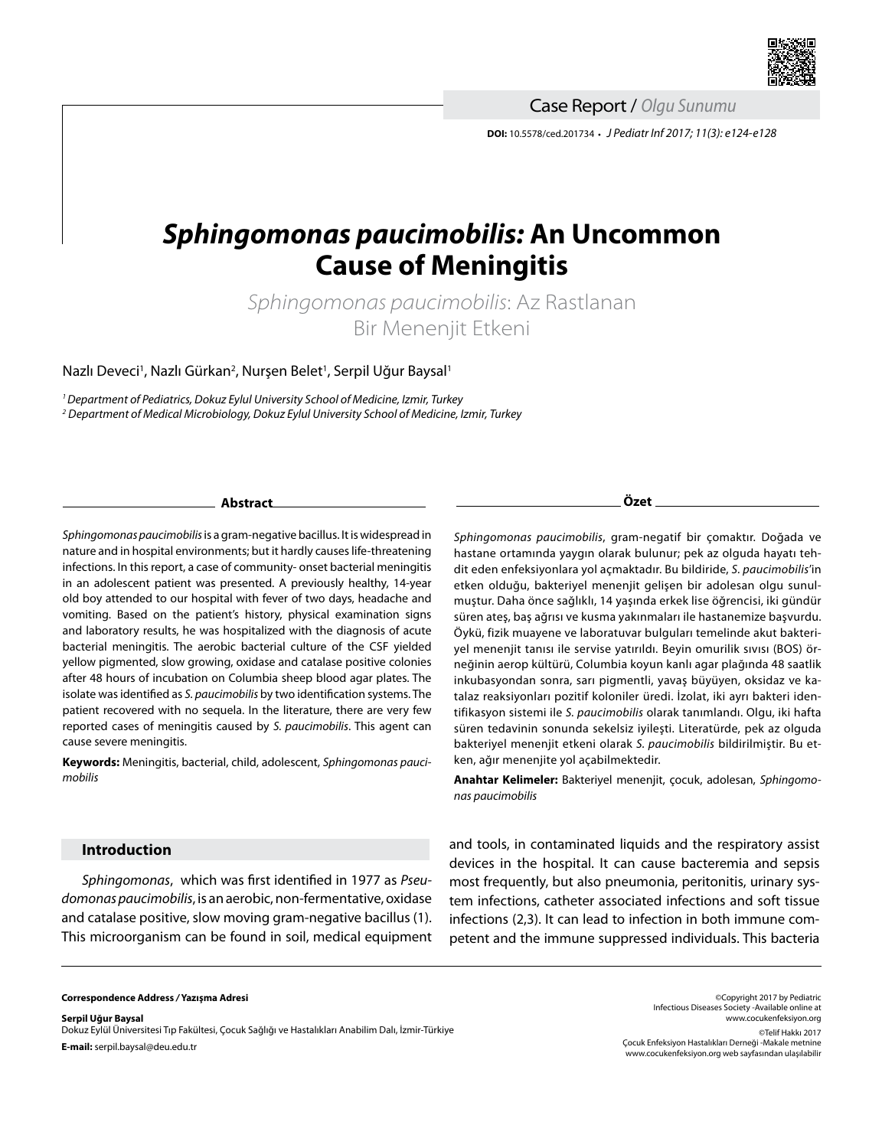

**DOI:** 10.5578/ced.201734 **•** *J Pediatr Inf 2017; 11(3): e124-e128* Case Report / *Olgu Sunumu*

# *Sphingomonas paucimobilis:* **An Uncommon Cause of Meningitis**

*Sphingomonas paucimobilis*: Az Rastlanan Bir Menenjit Etkeni

Nazlı Deveci<sup>1</sup>, Nazlı Gürkan<sup>2</sup>, Nurşen Belet<sup>1</sup>, Serpil Uğur Baysal<sup>ı</sup>

*1 Department of Pediatrics, Dokuz Eylul University School of Medicine, Izmir, Turkey 2 Department of Medical Microbiology, Dokuz Eylul University School of Medicine, Izmir, Turkey*

**Abstract**

*Sphingomonas paucimobilis* is a gram-negative bacillus. It is widespread in nature and in hospital environments; but it hardly causes life-threatening infections. In this report, a case of community- onset bacterial meningitis in an adolescent patient was presented. A previously healthy, 14-year old boy attended to our hospital with fever of two days, headache and vomiting. Based on the patient's history, physical examination signs and laboratory results, he was hospitalized with the diagnosis of acute bacterial meningitis. The aerobic bacterial culture of the CSF yielded yellow pigmented, slow growing, oxidase and catalase positive colonies after 48 hours of incubation on Columbia sheep blood agar plates. The isolate was identified as *S. paucimobilis* by two identification systems. The patient recovered with no sequela. In the literature, there are very few reported cases of meningitis caused by *S. paucimobilis*. This agent can cause severe meningitis.

**Keywords:** Meningitis, bacterial, child, adolescent, *Sphingomonas paucimobilis*

### **Introduction**

*Sphingomonas*, which was first identified in 1977 as *Pseudomonas paucimobilis*, is an aerobic, non-fermentative, oxidase and catalase positive, slow moving gram-negative bacillus (1). This microorganism can be found in soil, medical equipment **Özet**

*Sphingomonas paucimobilis*, gram-negatif bir çomaktır. Doğada ve hastane ortamında yaygın olarak bulunur; pek az olguda hayatı tehdit eden enfeksiyonlara yol açmaktadır. Bu bildiride, *S. paucimobilis*'in etken olduğu, bakteriyel menenjit gelişen bir adolesan olgu sunulmuştur. Daha önce sağlıklı, 14 yaşında erkek lise öğrencisi, iki gündür süren ateş, baş ağrısı ve kusma yakınmaları ile hastanemize başvurdu. Öykü, fizik muayene ve laboratuvar bulguları temelinde akut bakteriyel menenjit tanısı ile servise yatırıldı. Beyin omurilik sıvısı (BOS) örneğinin aerop kültürü, Columbia koyun kanlı agar plağında 48 saatlik inkubasyondan sonra, sarı pigmentli, yavaş büyüyen, oksidaz ve katalaz reaksiyonları pozitif koloniler üredi. İzolat, iki ayrı bakteri identifikasyon sistemi ile *S. paucimobilis* olarak tanımlandı. Olgu, iki hafta süren tedavinin sonunda sekelsiz iyileşti. Literatürde, pek az olguda bakteriyel menenjit etkeni olarak *S. paucimobilis* bildirilmiştir. Bu etken, ağır menenjite yol açabilmektedir.

**Anahtar Kelimeler:** Bakteriyel menenjit, çocuk, adolesan, *Sphingomonas paucimobilis*

and tools, in contaminated liquids and the respiratory assist devices in the hospital. It can cause bacteremia and sepsis most frequently, but also pneumonia, peritonitis, urinary system infections, catheter associated infections and soft tissue infections (2,3). It can lead to infection in both immune competent and the immune suppressed individuals. This bacteria

#### **Correspondence Address** */* **Yazışma Adresi**

**Serpil Uğur Baysal** Dokuz Eylül Üniversitesi Tıp Fakültesi, Çocuk Sağlığı ve Hastalıkları Anabilim Dalı, İzmir-Türkiye **E-mail:** serpil.baysal@deu.edu.tr

©Copyright 2017 by Pediatric Infectious Diseases Society -Available online at www.cocukenfeksiyon.org ©Telif Hakkı 2017 Çocuk Enfeksiyon Hastalıkları Derneği -Makale metnine www.cocukenfeksiyon.org web sayfasından ulaşılabilir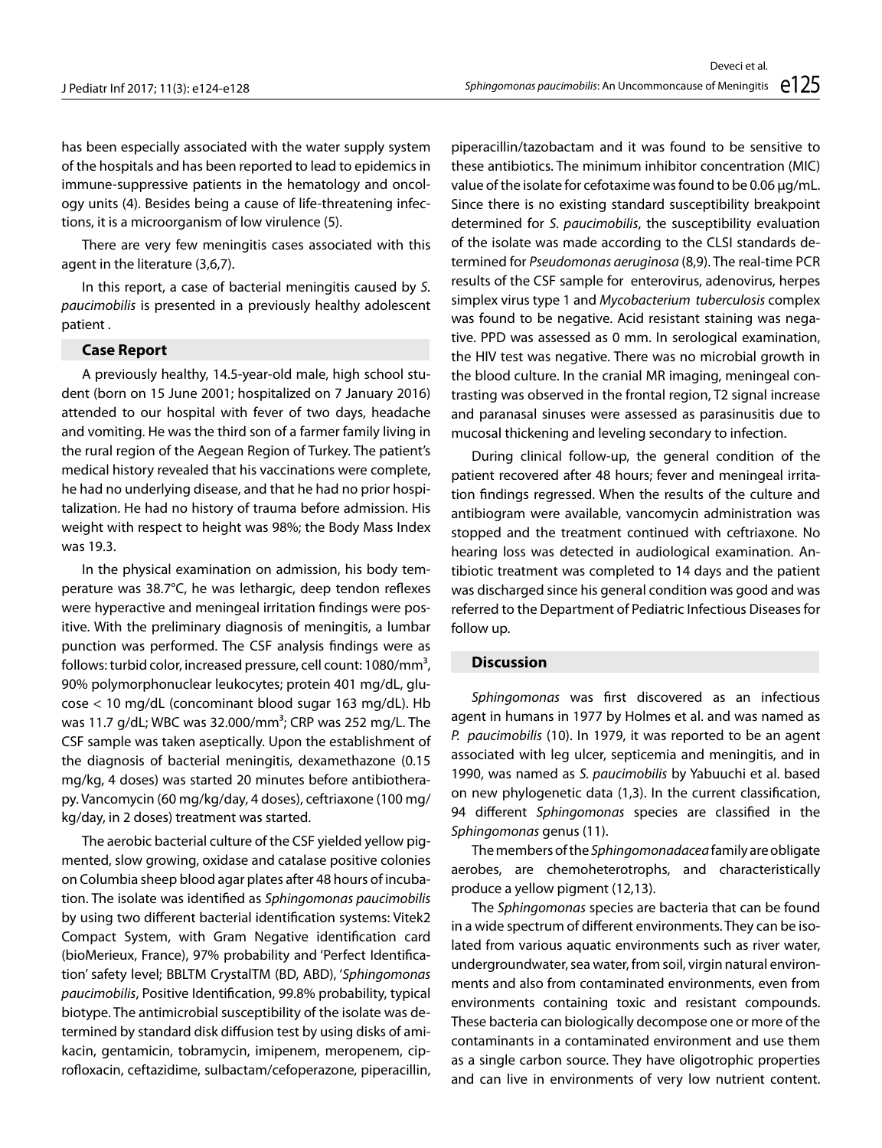has been especially associated with the water supply system of the hospitals and has been reported to lead to epidemics in immune-suppressive patients in the hematology and oncology units (4). Besides being a cause of life-threatening infections, it is a microorganism of low virulence (5).

There are very few meningitis cases associated with this agent in the literature (3,6,7).

In this report, a case of bacterial meningitis caused by *S. paucimobilis* is presented in a previously healthy adolescent patient .

### **Case Report**

A previously healthy, 14.5-year-old male, high school student (born on 15 June 2001; hospitalized on 7 January 2016) attended to our hospital with fever of two days, headache and vomiting. He was the third son of a farmer family living in the rural region of the Aegean Region of Turkey. The patient's medical history revealed that his vaccinations were complete, he had no underlying disease, and that he had no prior hospitalization. He had no history of trauma before admission. His weight with respect to height was 98%; the Body Mass Index was 19.3.

In the physical examination on admission, his body temperature was 38.7°C, he was lethargic, deep tendon reflexes were hyperactive and meningeal irritation findings were positive. With the preliminary diagnosis of meningitis, a lumbar punction was performed. The CSF analysis findings were as follows: turbid color, increased pressure, cell count: 1080/mm<sup>3</sup>, 90% polymorphonuclear leukocytes; protein 401 mg/dL, glucose < 10 mg/dL (concominant blood sugar 163 mg/dL). Hb was 11.7 g/dL; WBC was 32.000/mm<sup>3</sup>; CRP was 252 mg/L. The CSF sample was taken aseptically. Upon the establishment of the diagnosis of bacterial meningitis, dexamethazone (0.15 mg/kg, 4 doses) was started 20 minutes before antibiotherapy. Vancomycin (60 mg/kg/day, 4 doses), ceftriaxone (100 mg/ kg/day, in 2 doses) treatment was started.

The aerobic bacterial culture of the CSF yielded yellow pigmented, slow growing, oxidase and catalase positive colonies on Columbia sheep blood agar plates after 48 hours of incubation. The isolate was identified as *Sphingomonas paucimobilis* by using two different bacterial identification systems: Vitek2 Compact System, with Gram Negative identification card (bioMerieux, France), 97% probability and 'Perfect Identification' safety level; BBLTM CrystalTM (BD, ABD), '*Sphingomonas paucimobilis*, Positive Identification, 99.8% probability, typical biotype. The antimicrobial susceptibility of the isolate was determined by standard disk diffusion test by using disks of amikacin, gentamicin, tobramycin, imipenem, meropenem, ciprofloxacin, ceftazidime, sulbactam/cefoperazone, piperacillin,

piperacillin/tazobactam and it was found to be sensitive to these antibiotics. The minimum inhibitor concentration (MIC) value of the isolate for cefotaxime was found to be 0.06 μg/mL. Since there is no existing standard susceptibility breakpoint determined for *S. paucimobilis*, the susceptibility evaluation of the isolate was made according to the CLSI standards determined for *Pseudomonas aeruginosa* (8,9). The real-time pcr results of the CSF sample for enterovirus, adenovirus, herpes simplex virus type 1 and *Mycobacterium tuberculosis* complex was found to be negative. Acid resistant staining was negative. PPD was assessed as 0 mm. In serological examination, the HIV test was negative. There was no microbial growth in the blood culture. In the cranial MR imaging, meningeal contrasting was observed in the frontal region, T2 signal increase and paranasal sinuses were assessed as parasinusitis due to mucosal thickening and leveling secondary to infection.

During clinical follow-up, the general condition of the patient recovered after 48 hours; fever and meningeal irritation findings regressed. When the results of the culture and antibiogram were available, vancomycin administration was stopped and the treatment continued with ceftriaxone. No hearing loss was detected in audiological examination. Antibiotic treatment was completed to 14 days and the patient was discharged since his general condition was good and was referred to the Department of Pediatric Infectious Diseases for follow up.

## **Discussion**

*Sphingomonas* was first discovered as an infectious agent in humans in 1977 by Holmes et al. and was named as *P. paucimobilis* (10). In 1979, it was reported to be an agent associated with leg ulcer, septicemia and meningitis, and in 1990, was named as *S. paucimobilis* by Yabuuchi et al. based on new phylogenetic data (1,3). In the current classification, 94 different *Sphingomonas* species are classified in the *Sphingomonas* genus (11).

The members of the *Sphingomonadacea* family are obligate aerobes, are chemoheterotrophs, and characteristically produce a yellow pigment (12,13).

The *Sphingomonas* species are bacteria that can be found in a wide spectrum of different environments. They can be isolated from various aquatic environments such as river water, undergroundwater, sea water, from soil, virgin natural environments and also from contaminated environments, even from environments containing toxic and resistant compounds. These bacteria can biologically decompose one or more of the contaminants in a contaminated environment and use them as a single carbon source. They have oligotrophic properties and can live in environments of very low nutrient content.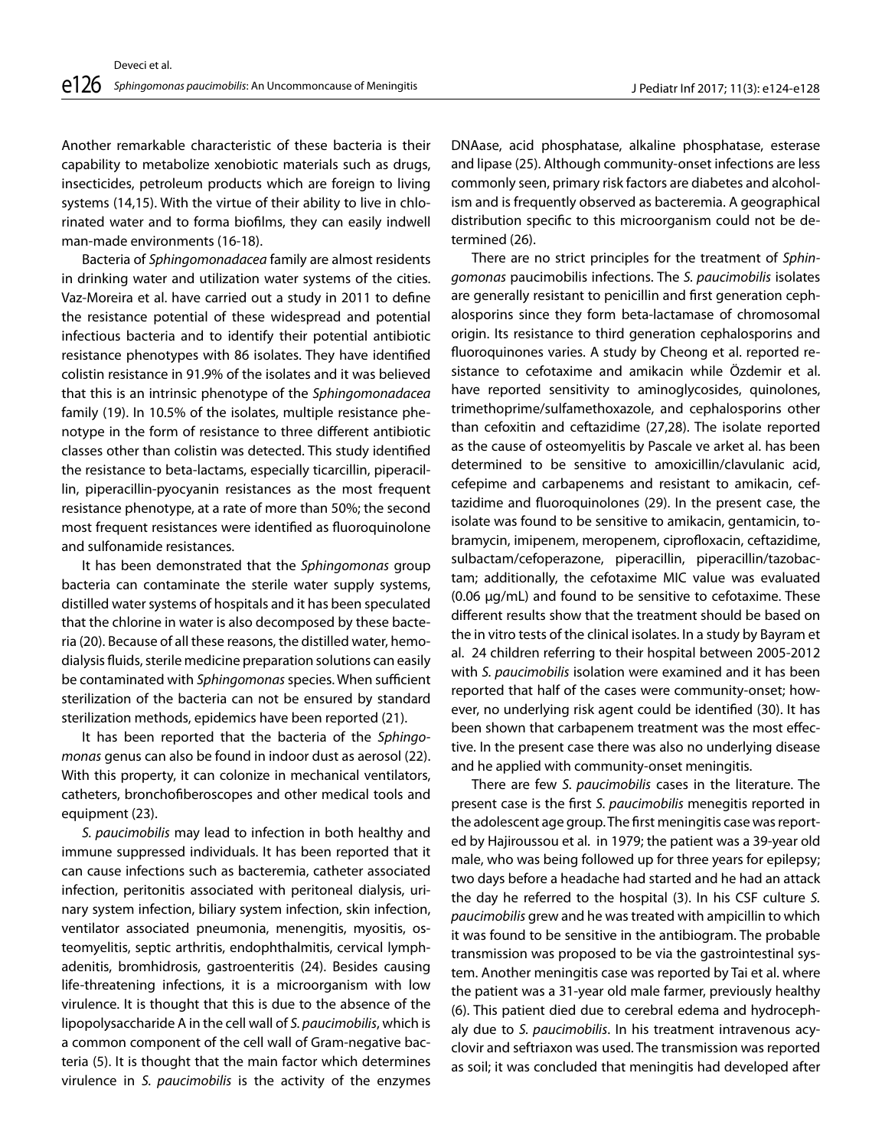Another remarkable characteristic of these bacteria is their capability to metabolize xenobiotic materials such as drugs, insecticides, petroleum products which are foreign to living systems (14,15). With the virtue of their ability to live in chlorinated water and to forma biofilms, they can easily indwell man-made environments (16-18).

Bacteria of *Sphingomonadacea* family are almost residents in drinking water and utilization water systems of the cities. Vaz-Moreira et al. have carried out a study in 2011 to define the resistance potential of these widespread and potential infectious bacteria and to identify their potential antibiotic resistance phenotypes with 86 isolates. They have identified colistin resistance in 91.9% of the isolates and it was believed that this is an intrinsic phenotype of the *Sphingomonadacea* family (19). In 10.5% of the isolates, multiple resistance phenotype in the form of resistance to three different antibiotic classes other than colistin was detected. This study identified the resistance to beta-lactams, especially ticarcillin, piperacillin, piperacillin-pyocyanin resistances as the most frequent resistance phenotype, at a rate of more than 50%; the second most frequent resistances were identified as fluoroquinolone and sulfonamide resistances.

It has been demonstrated that the *Sphingomonas* group bacteria can contaminate the sterile water supply systems, distilled water systems of hospitals and it has been speculated that the chlorine in water is also decomposed by these bacteria (20). Because of all these reasons, the distilled water, hemodialysis fluids, sterile medicine preparation solutions can easily be contaminated with *Sphingomonas* species. When sufficient sterilization of the bacteria can not be ensured by standard sterilization methods, epidemics have been reported (21).

It has been reported that the bacteria of the *Sphingomonas* genus can also be found in indoor dust as aerosol (22). With this property, it can colonize in mechanical ventilators, catheters, bronchofiberoscopes and other medical tools and equipment (23).

*S. paucimobilis* may lead to infection in both healthy and immune suppressed individuals. It has been reported that it can cause infections such as bacteremia, catheter associated infection, peritonitis associated with peritoneal dialysis, urinary system infection, biliary system infection, skin infection, ventilator associated pneumonia, menengitis, myositis, osteomyelitis, septic arthritis, endophthalmitis, cervical lymphadenitis, bromhidrosis, gastroenteritis (24). Besides causing life-threatening infections, it is a microorganism with low virulence. It is thought that this is due to the absence of the lipopolysaccharide A in the cell wall of *S. paucimobilis*, which is a common component of the cell wall of Gram-negative bacteria (5). It is thought that the main factor which determines virulence in *S. paucimobilis* is the activity of the enzymes

DNAase, acid phosphatase, alkaline phosphatase, esterase and lipase (25). Although community-onset infections are less commonly seen, primary risk factors are diabetes and alcoholism and is frequently observed as bacteremia. A geographical distribution specific to this microorganism could not be determined (26).

There are no strict principles for the treatment of *Sphingomonas* paucimobilis infections. The *S. paucimobilis* isolates are generally resistant to penicillin and first generation cephalosporins since they form beta-lactamase of chromosomal origin. Its resistance to third generation cephalosporins and fluoroquinones varies. A study by Cheong et al. reported resistance to cefotaxime and amikacin while Özdemir et al. have reported sensitivity to aminoglycosides, quinolones, trimethoprime/sulfamethoxazole, and cephalosporins other than cefoxitin and ceftazidime (27,28). The isolate reported as the cause of osteomyelitis by Pascale ve arket al. has been determined to be sensitive to amoxicillin/clavulanic acid, cefepime and carbapenems and resistant to amikacin, ceftazidime and fluoroquinolones (29). In the present case, the isolate was found to be sensitive to amikacin, gentamicin, tobramycin, imipenem, meropenem, ciprofloxacin, ceftazidime, sulbactam/cefoperazone, piperacillin, piperacillin/tazobactam; additionally, the cefotaxime MIC value was evaluated (0.06 μg/mL) and found to be sensitive to cefotaxime. These different results show that the treatment should be based on the in vitro tests of the clinical isolates. In a study by Bayram et al. 24 children referring to their hospital between 2005-2012 with *S. paucimobilis* isolation were examined and it has been reported that half of the cases were community-onset; however, no underlying risk agent could be identified (30). It has been shown that carbapenem treatment was the most effective. In the present case there was also no underlying disease and he applied with community-onset meningitis.

There are few *S. paucimobilis* cases in the literature. The present case is the first *S. paucimobilis* menegitis reported in the adolescent age group. The first meningitis case was reported by Hajiroussou et al. in 1979; the patient was a 39-year old male, who was being followed up for three years for epilepsy; two days before a headache had started and he had an attack the day he referred to the hospital (3). In his CSF culture *S. paucimobilis* grew and he was treated with ampicillin to which it was found to be sensitive in the antibiogram. The probable transmission was proposed to be via the gastrointestinal system. Another meningitis case was reported by Tai et al. where the patient was a 31-year old male farmer, previously healthy (6). This patient died due to cerebral edema and hydrocephaly due to *S. paucimobilis*. In his treatment intravenous acyclovir and seftriaxon was used. The transmission was reported as soil; it was concluded that meningitis had developed after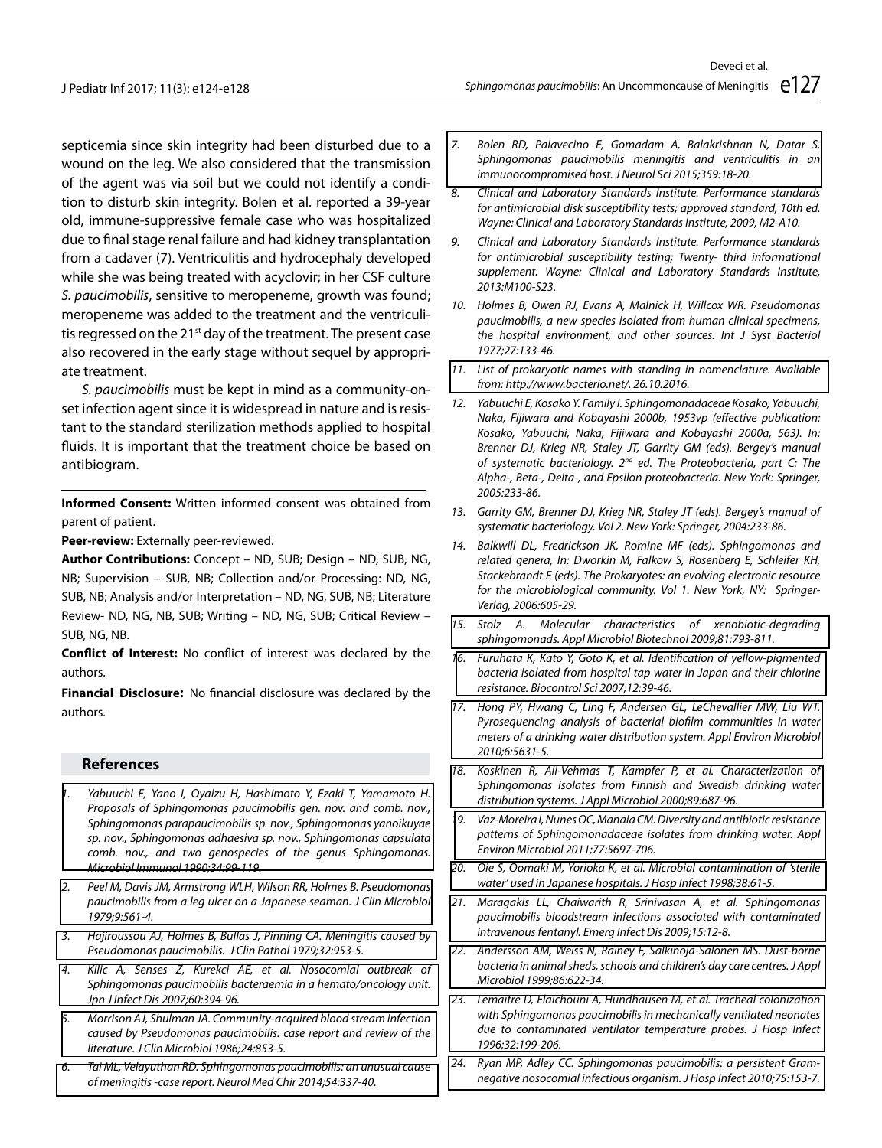septicemia since skin integrity had been disturbed due to a wound on the leg. We also considered that the transmission of the agent was via soil but we could not identify a condition to disturb skin integrity. Bolen et al. reported a 39-year old, immune-suppressive female case who was hospitalized due to final stage renal failure and had kidney transplantation from a cadaver (7). Ventriculitis and hydrocephaly developed while she was being treated with acyclovir; in her CSF culture *S. paucimobilis*, sensitive to meropeneme, growth was found; meropeneme was added to the treatment and the ventriculitis regressed on the 21<sup>st</sup> day of the treatment. The present case also recovered in the early stage without sequel by appropriate treatment.

*S. paucimobilis* must be kept in mind as a community-onset infection agent since it is widespread in nature and is resistant to the standard sterilization methods applied to hospital fluids. It is important that the treatment choice be based on antibiogram.

**Informed Consent:** Written informed consent was obtained from parent of patient.

**Peer-review:** Externally peer-reviewed.

**Author Contributions:** Concept – ND, SUB; Design – ND, SUB, NG, NB; Supervision – SUB, NB; Collection and/or Processing: ND, NG, SUB, NB; Analysis and/or Interpretation – ND, NG, SUB, NB; Literature Review- ND, NG, NB, SUB; Writing – ND, NG, SUB; Critical Review – SUB, NG, NB.

**Conflict of Interest:** No conflict of interest was declared by the authors.

**Financial Disclosure:** No financial disclosure was declared by the authors.

#### **References**

 $\overline{a}$ 

- *1. Yabuuchi E, Yano I, Oyaizu H, Hashimoto Y, Ezaki T, Yamamoto H. Proposals of Sphingomonas paucimobilis gen. nov. and comb. nov., Sphingomonas parapaucimobilis sp. nov., Sphingomonas yanoikuyae sp. nov., Sphingomonas adhaesiva sp. nov., Sphingomonas capsulata [comb. nov., and two genospecies of the genus Sphingomonas.](https://onlinelibrary.wiley.com/doi/abs/10.1111/j.1348-0421.1990.tb00996.x)  Microbiol Immunol 1990;34:99-119.*
- *2. [Peel M, Davis JM, Armstrong WLH, Wilson RR, Holmes B. Pseudomonas](http://jcm.asm.org/content/9/5/561.long)  paucimobilis from a leg ulcer on a Japanese seaman. J Clin Microbiol 1979;9:561-4.*
- *3. [Hajiroussou AJ, Holmes B, Bullas J, Pinning CA. Meningitis caused by](http://jcp.bmj.com/content/32/9/953.long)  Pseudomonas paucimobilis. J Clin Pathol 1979;32:953-5.*
- *4. Kilic A, Senses Z, Kurekci AE, et al. Nosocomial outbreak of [Sphingomonas paucimobilis bacteraemia in a hemato/oncology unit.](http://www0.nih.go.jp/JJID/60/394.pdf)  Jpn J Infect Dis 2007;60:394-96.*
- *5. Morrison AJ, Shulman JA. Community-acquired blood stream infection [caused by Pseudomonas paucimobilis: case report and review of the](http://jcm.asm.org/content/24/5/853.long)  literature. J Clin Microbiol 1986;24:853-5.*
- *6. Tai ML, Velayuthan RD. Sphingomonas paucimobilis: an unusual cause [of meningitis -case report. Neurol Med Chir 2014;54:337-40.](https://www.jstage.jst.go.jp/article/nmc/54/4/54_cr2012-0429/_article)*
- *7. [Bolen RD, Palavecino E, Gomadam A, Balakrishnan N, Datar S.](https://www.jns-journal.com/article/S0022-510X(15)02497-1/fulltext)  Sphingomonas paucimobilis meningitis and ventriculitis in an immunocompromised host. J Neurol Sci 2015;359:18-20.*
- *8. Clinical and Laboratory Standards Institute. Performance standards for antimicrobial disk susceptibility tests; approved standard, 10th ed. Wayne: Clinical and Laboratory Standards Institute, 2009, M2-A10.*
- *9. Clinical and Laboratory Standards Institute. Performance standards for antimicrobial susceptibility testing; Twenty- third informational supplement. Wayne: Clinical and Laboratory Standards Institute, 2013:M100-S23.*
- *10. Holmes B, Owen RJ, Evans A, Malnick H, Willcox WR. Pseudomonas paucimobilis, a new species isolated from human clinical specimens, the hospital environment, and other sources. Int J Syst Bacteriol 1977;27:133-46.*
- *11. [List of prokaryotic names with standing in nomenclature. Avaliable](http://www.bacterio.net/. 26.10.2016.)  from: http://www.bacterio.net/. 26.10.2016.*
- *12. Yabuuchi E, Kosako Y. Family I. Sphingomonadaceae Kosako, Yabuuchi, Naka, Fijiwara and Kobayashi 2000b, 1953vp (effective publication: Kosako, Yabuuchi, Naka, Fijiwara and Kobayashi 2000a, 563). In: Brenner DJ, Krieg NR, Staley JT, Garrity GM (eds). Bergey's manual of systematic bacteriology. 2nd ed. The Proteobacteria, part C: The Alpha-, Beta-, Delta-, and Epsilon proteobacteria. New York: Springer, 2005:233-86.*
- *13. Garrity GM, Brenner DJ, Krieg NR, Staley JT (eds). Bergey's manual of systematic bacteriology. Vol 2. New York: Springer, 2004:233-86.*
- *14. Balkwill DL, Fredrickson JK, Romine MF (eds). Sphingomonas and related genera, In: Dworkin M, Falkow S, Rosenberg E, Schleifer KH, Stackebrandt E (eds). The Prokaryotes: an evolving electronic resource for the microbiological community. Vol 1. New York, NY: Springer-Verlag, 2006:605-29.*
- *15. [Stolz A. Molecular characteristics of xenobiotic-degrading](https://link.springer.com/article/10.1007%2Fs00253-008-1752-3)  sphingomonads. Appl Microbiol Biotechnol 2009;81:793-811.*
- *16. [Furuhata K, Kato Y, Goto K, et al. Identification of yellow-pigmented](https://pdfs.semanticscholar.org/4b26/323d479762f4c1cce77abe3c96345ac9b94e.pdf)  bacteria isolated from hospital tap water in Japan and their chlorine resistance. Biocontrol Sci 2007;12:39-46.*
- *17. [Hong PY, Hwang C, Ling F, Andersen GL, LeChevallier MW, Liu WT.](http://aem.asm.org/content/76/16/5631.long)  Pyrosequencing analysis of bacterial biofilm communities in water meters of a drinking water distribution system. Appl Environ Microbiol 2010;6:5631-5.*
- *18. [Koskinen R, Ali-Vehmas T, Kampfer P, et al. Characterization of](https://onlinelibrary.wiley.com/doi/abs/10.1046/j.1365-2672.2000.01167.x)  Sphingomonas isolates from Finnish and Swedish drinking water distribution systems. J Appl Microbiol 2000;89:687-96.*
- *19. [Vaz-Moreira I, Nunes OC, Manaia CM. Diversity and antibiotic resistance](http://aem.asm.org/content/77/16/5697.long)  patterns of Sphingomonadaceae isolates from drinking water. Appl Environ Microbiol 2011;77:5697-706.*
- *20. [Oie S, Oomaki M, Yorioka K, et al. Microbial contamination of 'sterile](https://www.journalofhospitalinfection.com/article/S0195-6701(98)90175-X/pdf)  water' used in Japanese hospitals. J Hosp Infect 1998;38:61-5.*
- *21. Maragakis LL, Chaiwarith R, Srinivasan A, et al. Sphingomonas [paucimobilis bloodstream infections associated with contaminated](https://wwwnc.cdc.gov/eid/article/15/1/08-1054_intro)  intravenous fentanyl. Emerg Infect Dis 2009;15:12-8.*
- *22. Andersson AM, Weiss N, Rainey F, Salkinoja-Salonen MS. Dust-borne [bacteria in animal sheds, schools and children's day care centres. J Appl](https://onlinelibrary.wiley.com/doi/abs/10.1046/j.1365-2672.1999.00706.x)  Microbiol 1999;86:622-34.*
- *23. Lemaitre D, Elaichouni A, Hundhausen M, et al. Tracheal colonization [with Sphingomonas paucimobilis in mechanically ventilated neonates](https://www.journalofhospitalinfection.com/article/S0195-6701(96)90146-2/pdf)  due to contaminated ventilator temperature probes. J Hosp Infect 1996;32:199-206.*
- *24. [Ryan MP, Adley CC. Sphingomonas paucimobilis: a persistent Gram](https://www.journalofhospitalinfection.com/article/S0195-6701(10)00147-7/fulltext)negative nosocomial infectious organism. J Hosp Infect 2010;75:153-7.*